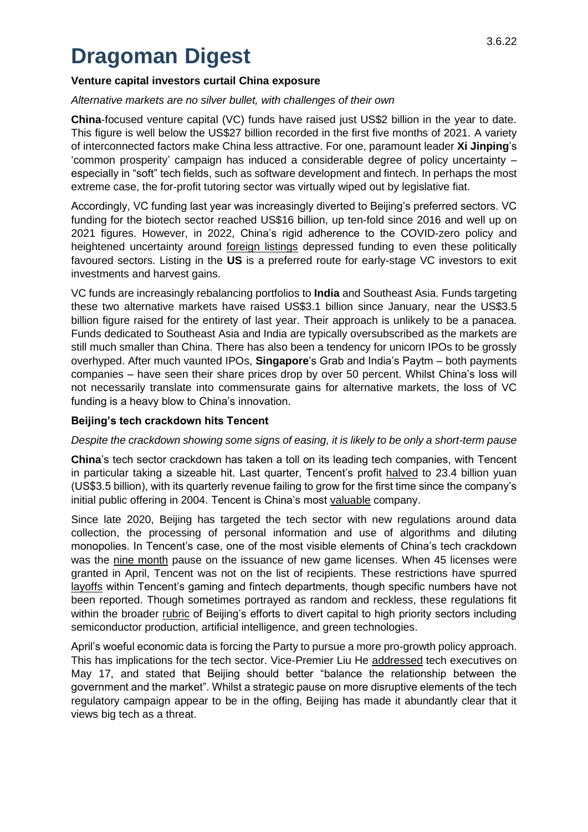# **Dragoman Digest**

# **Venture capital investors curtail China exposure**

## *Alternative markets are no silver bullet, with challenges of their own*

**China**-focused venture capital (VC) funds have raised just US\$2 billion in the year to date. This figure is well below the US\$27 billion recorded in the first five months of 2021. A variety of interconnected factors make China less attractive. For one, paramount leader **Xi Jinping**'s 'common prosperity' campaign has induced a considerable degree of policy uncertainty – especially in "soft" tech fields, such as software development and fintech. In perhaps the most extreme case, the for-profit tutoring sector was virtually wiped out by legislative fiat.

Accordingly, VC funding last year was increasingly diverted to Beijing's preferred sectors. VC funding for the biotech sector reached US\$16 billion, up ten-fold since 2016 and well up on 2021 figures. However, in 2022, China's rigid adherence to the COVID-zero policy and heightened uncertainty around [foreign listings](https://www.washingtonpost.com/business/how-the-us-is-moving-closer-to-delisting-chinese-firms/2022/05/25/a130a15c-dc97-11ec-bc35-a91d0a94923b_story.html) depressed funding to even these politically favoured sectors. Listing in the **US** is a preferred route for early-stage VC investors to exit investments and harvest gains.

VC funds are increasingly rebalancing portfolios to **India** and Southeast Asia. Funds targeting these two alternative markets have raised US\$3.1 billion since January, near the US\$3.5 billion figure raised for the entirety of last year. Their approach is unlikely to be a panacea. Funds dedicated to Southeast Asia and India are typically oversubscribed as the markets are still much smaller than China. There has also been a tendency for unicorn IPOs to be grossly overhyped. After much vaunted IPOs, **Singapore**'s Grab and India's Paytm – both payments companies – have seen their share prices drop by over 50 percent. Whilst China's loss will not necessarily translate into commensurate gains for alternative markets, the loss of VC funding is a heavy blow to China's innovation.

# **Beijing's tech crackdown hits Tencent**

## *Despite the crackdown showing some signs of easing, it is likely to be only a short-term pause*

**China**'s tech sector crackdown has taken a toll on its leading tech companies, with Tencent in particular taking a sizeable hit. Last quarter, Tencent's profit [halved](https://www.caixinglobal.com/2022-05-19/covid-helps-cut-tencents-profits-in-half-101887471.html) to 23.4 billion yuan (US\$3.5 billion), with its quarterly revenue failing to grow for the first time since the company's initial public offering in 2004. Tencent is China's most [valuable](https://www.globaltimes.cn/page/202201/1246347.shtml) company.

Since late 2020, Beijing has targeted the tech sector with new regulations around data collection, the processing of personal information and use of algorithms and diluting monopolies. In Tencent's case, one of the most visible elements of China's tech crackdown was the [nine month](https://www.theregister.com/2022/04/12/china_approves_video_games_again/) pause on the issuance of new game licenses. When 45 licenses were granted in April, Tencent was not on the list of recipients. These restrictions have spurred [layoffs](https://www.caixinglobal.com/2022-05-24/tencent-fires-gaming-fintech-staff-in-wake-of-miserable-first-quarter-101889528.html) within Tencent's gaming and fintech departments, though specific numbers have not been reported. Though sometimes portrayed as random and reckless, these regulations fit within the broader [rubric](https://www.china-briefing.com/news/china-common-prosperity-what-does-it-mean-for-foreign-investors/) of Beijing's efforts to divert capital to high priority sectors including semiconductor production, artificial intelligence, and green technologies.

April's woeful economic data is forcing the Party to pursue a more pro-growth policy approach. This has implications for the tech sector. Vice-Premier Liu He [addressed](https://www.ft.com/content/07d945e8-cae5-4653-b349-2566a60f93ef) tech executives on May 17, and stated that Beijing should better "balance the relationship between the government and the market". Whilst a strategic pause on more disruptive elements of the tech regulatory campaign appear to be in the offing, Beijing has made it abundantly clear that it views big tech as a threat.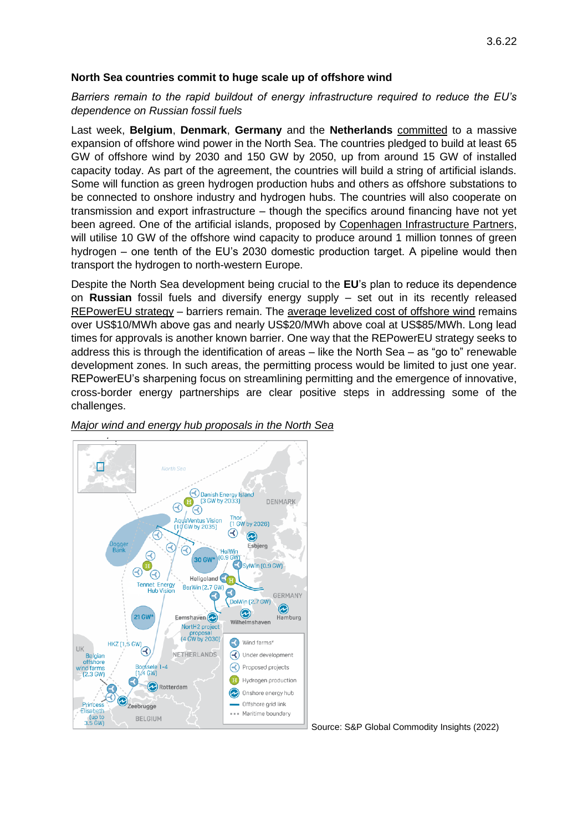#### **North Sea countries commit to huge scale up of offshore wind**

*Barriers remain to the rapid buildout of energy infrastructure required to reduce the EU's dependence on Russian fossil fuels* 

Last week, **Belgium**, **Denmark**, **Germany** and the **Netherlands** [committed](https://en.kefm.dk/Media/637884570050166016/Declaration%20of%20Energy%20Ministers%20(002).pdf) to a massive expansion of offshore wind power in the North Sea. The countries pledged to build at least 65 GW of offshore wind by 2030 and 150 GW by 2050, up from around 15 GW of installed capacity today. As part of the agreement, the countries will build a string of artificial islands. Some will function as green hydrogen production hubs and others as offshore substations to be connected to onshore industry and hydrogen hubs. The countries will also cooperate on transmission and export infrastructure – though the specifics around financing have not yet been agreed. One of the artificial islands, proposed by [Copenhagen Infrastructure Partners,](https://hydrogenisland.dk/en) will utilise 10 GW of the offshore wind capacity to produce around 1 million tonnes of green hydrogen – one tenth of the EU's 2030 domestic production target. A pipeline would then transport the hydrogen to north-western Europe.

Despite the North Sea development being crucial to the **EU**'s plan to reduce its dependence on **Russian** fossil fuels and diversify energy supply – set out in its recently released [REPowerEU strategy](https://ec.europa.eu/commission/presscorner/detail/en/IP_22_3131) – barriers remain. The [average levelized cost of offshore wind](https://www.energy-transitions.org/wp-content/uploads/2022/05/Building-Energy-Security-v1.4.pdf) remains over US\$10/MWh above gas and nearly US\$20/MWh above coal at US\$85/MWh. Long lead times for approvals is another known barrier. One way that the REPowerEU strategy seeks to address this is through the identification of areas – like the North Sea – as "go to" renewable development zones. In such areas, the permitting process would be limited to just one year. REPowerEU's sharpening focus on streamlining permitting and the emergence of innovative, cross-border energy partnerships are clear positive steps in addressing some of the challenges.



*Major wind and energy hub proposals in the North Sea* 

Source: S&P Global Commodity Insights (2022)